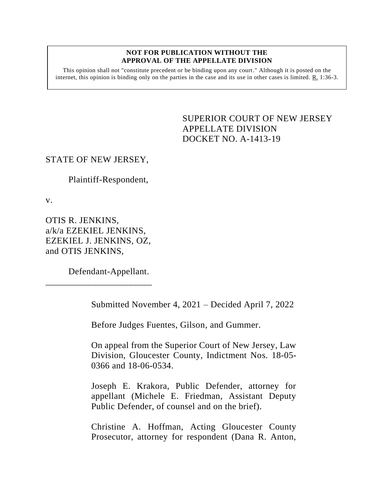## **NOT FOR PUBLICATION WITHOUT THE APPROVAL OF THE APPELLATE DIVISION**

This opinion shall not "constitute precedent or be binding upon any court." Although it is posted on the internet, this opinion is binding only on the parties in the case and its use in other cases is limited.  $R_1$  1:36-3.

> <span id="page-0-0"></span>SUPERIOR COURT OF NEW JERSEY APPELLATE DIVISION DOCKET NO. A-1413-19

## STATE OF NEW JERSEY,

Plaintiff-Respondent,

v.

OTIS R. JENKINS, a/k/a EZEKIEL JENKINS, EZEKIEL J. JENKINS, OZ, and OTIS JENKINS,

\_\_\_\_\_\_\_\_\_\_\_\_\_\_\_\_\_\_\_\_\_\_\_

Defendant-Appellant.

Submitted November 4, 2021 – Decided April 7, 2022

Before Judges Fuentes, Gilson, and Gummer.

On appeal from the Superior Court of New Jersey, Law Division, Gloucester County, Indictment Nos. 18-05- 0366 and 18-06-0534.

Joseph E. Krakora, Public Defender, attorney for appellant (Michele E. Friedman, Assistant Deputy Public Defender, of counsel and on the brief).

Christine A. Hoffman, Acting Gloucester County Prosecutor, attorney for respondent (Dana R. Anton,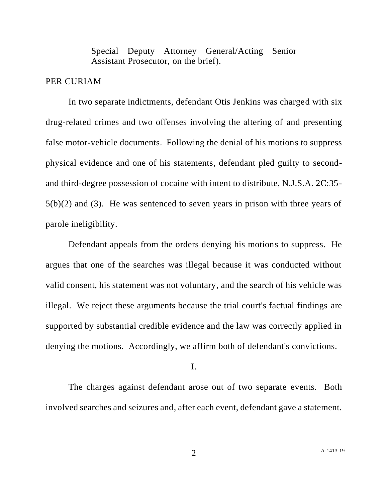Special Deputy Attorney General/Acting Senior Assistant Prosecutor, on the brief).

## PER CURIAM

In two separate indictments, defendant Otis Jenkins was charged with six drug-related crimes and two offenses involving the altering of and presenting false motor-vehicle documents. Following the denial of his motions to suppress physical evidence and one of his statements, defendant pled guilty to secondand third-degree possession of cocaine with intent to distribute, N.J.S.A. 2C:35- 5(b)(2) and (3). He was sentenced to seven years in prison with three years of parole ineligibility.

Defendant appeals from the orders denying his motions to suppress. He argues that one of the searches was illegal because it was conducted without valid consent, his statement was not voluntary, and the search of his vehicle was illegal. We reject these arguments because the trial court's factual findings are supported by substantial credible evidence and the law was correctly applied in denying the motions. Accordingly, we affirm both of defendant's convictions.

I.

The charges against defendant arose out of two separate events. Both involved searches and seizures and, after each event, defendant gave a statement.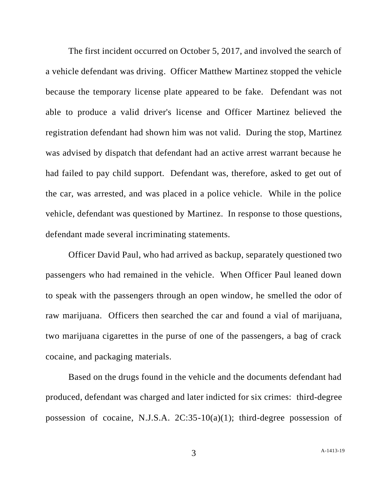The first incident occurred on October 5, 2017, and involved the search of a vehicle defendant was driving. Officer Matthew Martinez stopped the vehicle because the temporary license plate appeared to be fake. Defendant was not able to produce a valid driver's license and Officer Martinez believed the registration defendant had shown him was not valid. During the stop, Martinez was advised by dispatch that defendant had an active arrest warrant because he had failed to pay child support. Defendant was, therefore, asked to get out of the car, was arrested, and was placed in a police vehicle. While in the police vehicle, defendant was questioned by Martinez. In response to those questions, defendant made several incriminating statements.

Officer David Paul, who had arrived as backup, separately questioned two passengers who had remained in the vehicle. When Officer Paul leaned down to speak with the passengers through an open window, he smelled the odor of raw marijuana. Officers then searched the car and found a vial of marijuana, two marijuana cigarettes in the purse of one of the passengers, a bag of crack cocaine, and packaging materials.

Based on the drugs found in the vehicle and the documents defendant had produced, defendant was charged and later indicted for six crimes: third-degree possession of cocaine, N.J.S.A. 2C:35-10(a)(1); third-degree possession of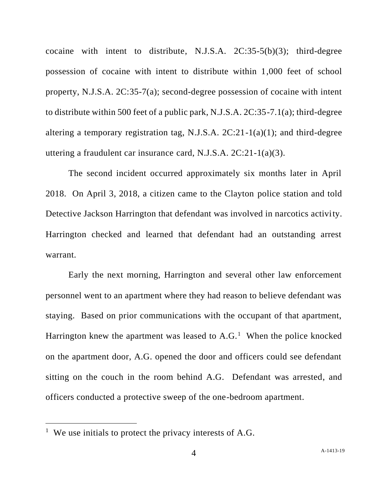cocaine with intent to distribute, N.J.S.A. 2C:35-5(b)(3); third-degree possession of cocaine with intent to distribute within 1,000 feet of school property, N.J.S.A. 2C:35-7(a); second-degree possession of cocaine with intent to distribute within 500 feet of a public park, N.J.S.A. 2C:35-7.1(a); third-degree altering a temporary registration tag, N.J.S.A. 2C:21-1(a)(1); and third-degree uttering a fraudulent car insurance card, N.J.S.A. 2C:21-1(a)(3).

The second incident occurred approximately six months later in April 2018. On April 3, 2018, a citizen came to the Clayton police station and told Detective Jackson Harrington that defendant was involved in narcotics activity. Harrington checked and learned that defendant had an outstanding arrest warrant.

Early the next morning, Harrington and several other law enforcement personnel went to an apartment where they had reason to believe defendant was staying. Based on prior communications with the occupant of that apartment, Harrington knew the apartment was leased to  $A.G.<sup>1</sup>$  When the police knocked on the apartment door, A.G. opened the door and officers could see defendant sitting on the couch in the room behind A.G. Defendant was arrested, and officers conducted a protective sweep of the one-bedroom apartment.

<sup>&</sup>lt;sup>1</sup> We use initials to protect the privacy interests of A.G.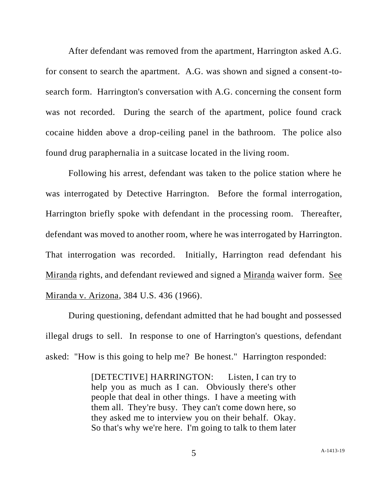After defendant was removed from the apartment, Harrington asked A.G. for consent to search the apartment. A.G. was shown and signed a consent-tosearch form. Harrington's conversation with A.G. concerning the consent form was not recorded. During the search of the apartment, police found crack cocaine hidden above a drop-ceiling panel in the bathroom. The police also found drug paraphernalia in a suitcase located in the living room.

Following his arrest, defendant was taken to the police station where he was interrogated by Detective Harrington. Before the formal interrogation, Harrington briefly spoke with defendant in the processing room. Thereafter, defendant was moved to another room, where he was interrogated by Harrington. That interrogation was recorded. Initially, Harrington read defendant his Miranda rights, and defendant reviewed and signed a Miranda waiver form. See Miranda v. Arizona, 384 U.S. 436 (1966).

During questioning, defendant admitted that he had bought and possessed illegal drugs to sell. In response to one of Harrington's questions, defendant asked: "How is this going to help me? Be honest." Harrington responded:

> [DETECTIVE] HARRINGTON: Listen, I can try to help you as much as I can. Obviously there's other people that deal in other things. I have a meeting with them all. They're busy. They can't come down here, so they asked me to interview you on their behalf. Okay. So that's why we're here. I'm going to talk to them later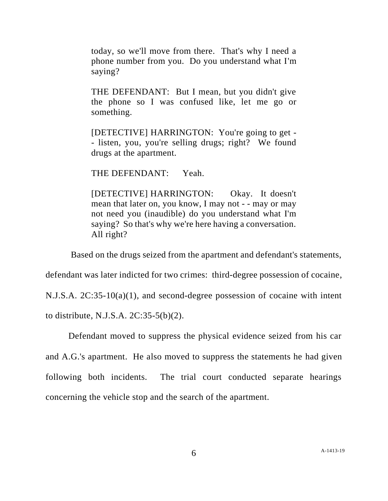today, so we'll move from there. That's why I need a phone number from you. Do you understand what I'm saying?

THE DEFENDANT: But I mean, but you didn't give the phone so I was confused like, let me go or something.

[DETECTIVE] HARRINGTON: You're going to get - - listen, you, you're selling drugs; right? We found drugs at the apartment.

THE DEFENDANT: Yeah.

[DETECTIVE] HARRINGTON: Okay. It doesn't mean that later on, you know, I may not - - may or may not need you (inaudible) do you understand what I'm saying? So that's why we're here having a conversation. All right?

Based on the drugs seized from the apartment and defendant's statements,

defendant was later indicted for two crimes: third-degree possession of cocaine,

N.J.S.A. 2C:35-10(a)(1), and second-degree possession of cocaine with intent

to distribute, N.J.S.A. 2C:35-5(b)(2).

Defendant moved to suppress the physical evidence seized from his car and A.G.'s apartment. He also moved to suppress the statements he had given following both incidents. The trial court conducted separate hearings concerning the vehicle stop and the search of the apartment.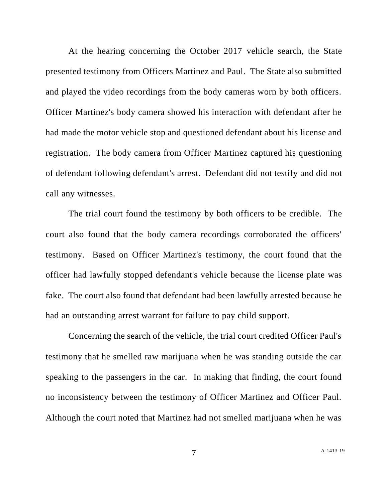At the hearing concerning the October 2017 vehicle search, the State presented testimony from Officers Martinez and Paul. The State also submitted and played the video recordings from the body cameras worn by both officers. Officer Martinez's body camera showed his interaction with defendant after he had made the motor vehicle stop and questioned defendant about his license and registration. The body camera from Officer Martinez captured his questioning of defendant following defendant's arrest. Defendant did not testify and did not call any witnesses.

The trial court found the testimony by both officers to be credible. The court also found that the body camera recordings corroborated the officers' testimony. Based on Officer Martinez's testimony, the court found that the officer had lawfully stopped defendant's vehicle because the license plate was fake. The court also found that defendant had been lawfully arrested because he had an outstanding arrest warrant for failure to pay child support.

Concerning the search of the vehicle, the trial court credited Officer Paul's testimony that he smelled raw marijuana when he was standing outside the car speaking to the passengers in the car. In making that finding, the court found no inconsistency between the testimony of Officer Martinez and Officer Paul. Although the court noted that Martinez had not smelled marijuana when he was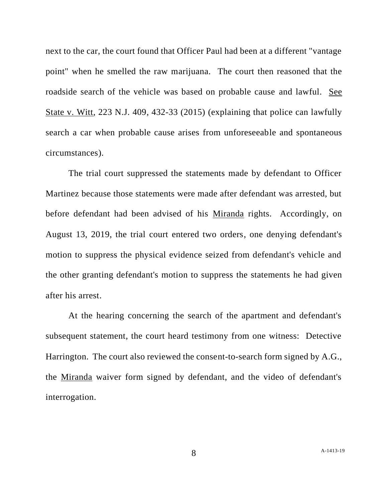next to the car, the court found that Officer Paul had been at a different "vantage point" when he smelled the raw marijuana. The court then reasoned that the roadside search of the vehicle was based on probable cause and lawful. See State v. Witt, 223 N.J. 409, 432-33 (2015) (explaining that police can lawfully search a car when probable cause arises from unforeseeable and spontaneous circumstances).

The trial court suppressed the statements made by defendant to Officer Martinez because those statements were made after defendant was arrested, but before defendant had been advised of his Miranda rights. Accordingly, on August 13, 2019, the trial court entered two orders, one denying defendant's motion to suppress the physical evidence seized from defendant's vehicle and the other granting defendant's motion to suppress the statements he had given after his arrest.

At the hearing concerning the search of the apartment and defendant's subsequent statement, the court heard testimony from one witness: Detective Harrington. The court also reviewed the consent-to-search form signed by A.G., the Miranda waiver form signed by defendant, and the video of defendant's interrogation.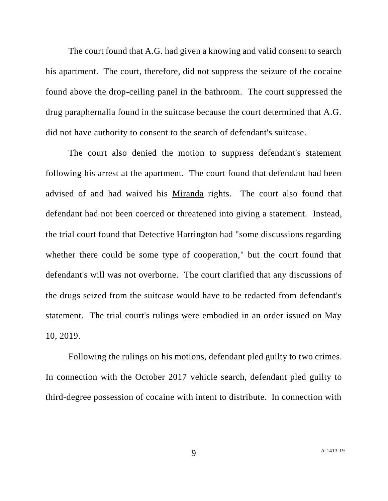The court found that A.G. had given a knowing and valid consent to search his apartment. The court, therefore, did not suppress the seizure of the cocaine found above the drop-ceiling panel in the bathroom. The court suppressed the drug paraphernalia found in the suitcase because the court determined that A.G. did not have authority to consent to the search of defendant's suitcase.

The court also denied the motion to suppress defendant's statement following his arrest at the apartment. The court found that defendant had been advised of and had waived his Miranda rights. The court also found that defendant had not been coerced or threatened into giving a statement. Instead, the trial court found that Detective Harrington had "some discussions regarding whether there could be some type of cooperation," but the court found that defendant's will was not overborne. The court clarified that any discussions of the drugs seized from the suitcase would have to be redacted from defendant's statement. The trial court's rulings were embodied in an order issued on May 10, 2019.

Following the rulings on his motions, defendant pled guilty to two crimes. In connection with the October 2017 vehicle search, defendant pled guilty to third-degree possession of cocaine with intent to distribute. In connection with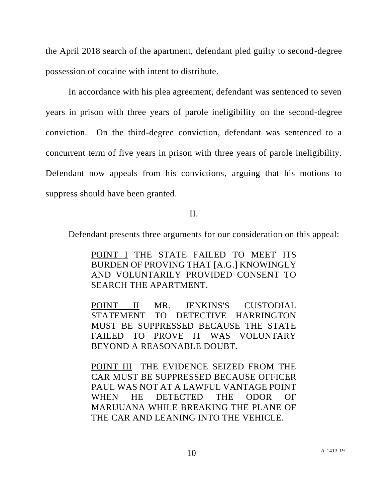the April 2018 search of the apartment, defendant pled guilty to second-degree possession of cocaine with intent to distribute.

In accordance with his plea agreement, defendant was sentenced to seven years in prison with three years of parole ineligibility on the second-degree conviction. On the third-degree conviction, defendant was sentenced to a concurrent term of five years in prison with three years of parole ineligibility. Defendant now appeals from his convictions, arguing that his motions to suppress should have been granted.

II.

Defendant presents three arguments for our consideration on this appeal:

POINT I THE STATE FAILED TO MEET ITS BURDEN OF PROVING THAT [A.G.] KNOWINGLY AND VOLUNTARILY PROVIDED CONSENT TO SEARCH THE APARTMENT.

POINT II MR. JENKINS'S CUSTODIAL STATEMENT TO DETECTIVE HARRINGTON MUST BE SUPPRESSED BECAUSE THE STATE FAILED TO PROVE IT WAS VOLUNTARY BEYOND A REASONABLE DOUBT.

POINT III THE EVIDENCE SEIZED FROM THE CAR MUST BE SUPPRESSED BECAUSE OFFICER PAUL WAS NOT AT A LAWFUL VANTAGE POINT WHEN HE DETECTED THE ODOR OF MARIJUANA WHILE BREAKING THE PLANE OF THE CAR AND LEANING INTO THE VEHICLE.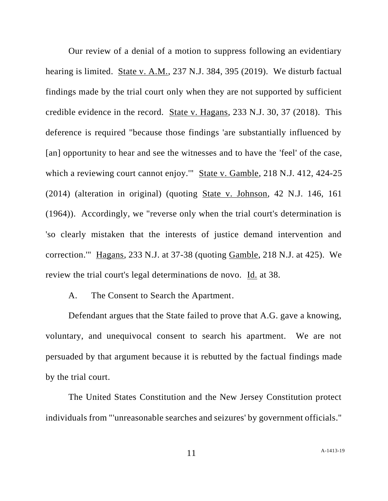Our review of a denial of a motion to suppress following an evidentiary hearing is limited. State v. A.M., 237 N.J. 384, 395 (2019). We disturb factual findings made by the trial court only when they are not supported by sufficient credible evidence in the record. State v. Hagans, 233 N.J. 30, 37 (2018). This deference is required "because those findings 'are substantially influenced by [an] opportunity to hear and see the witnesses and to have the 'feel' of the case, which a reviewing court cannot enjoy." State v. Gamble, 218 N.J. 412, 424-25 (2014) (alteration in original) (quoting State v. Johnson, 42 N.J. 146, 161 (1964)). Accordingly, we "reverse only when the trial court's determination is 'so clearly mistaken that the interests of justice demand intervention and correction.'" Hagans, 233 N.J. at 37-38 (quoting Gamble, 218 N.J. at 425). We review the trial court's legal determinations de novo. Id. at 38.

A. The Consent to Search the Apartment.

Defendant argues that the State failed to prove that A.G. gave a knowing, voluntary, and unequivocal consent to search his apartment. We are not persuaded by that argument because it is rebutted by the factual findings made by the trial court.

The United States Constitution and the New Jersey Constitution protect individuals from "'unreasonable searches and seizures' by government officials."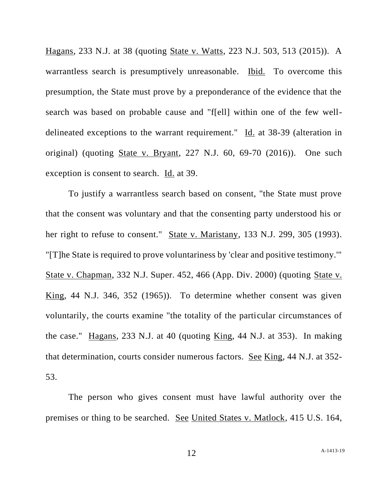Hagans, 233 N.J. at 38 (quoting State v. Watts, 223 N.J. 503, 513 (2015)). A warrantless search is presumptively unreasonable. Ibid. To overcome this presumption, the State must prove by a preponderance of the evidence that the search was based on probable cause and "f[ell] within one of the few welldelineated exceptions to the warrant requirement." Id. at 38-39 (alteration in original) (quoting State v. Bryant, 227 N.J. 60, 69-70 (2016)). One such exception is consent to search. Id. at 39.

To justify a warrantless search based on consent, "the State must prove that the consent was voluntary and that the consenting party understood his or her right to refuse to consent." State v. Maristany, 133 N.J. 299, 305 (1993). "[T]he State is required to prove voluntariness by 'clear and positive testimony.'" State v. Chapman, 332 N.J. Super. 452, 466 (App. Div. 2000) (quoting State v. King, 44 N.J. 346, 352 (1965)). To determine whether consent was given voluntarily, the courts examine "the totality of the particular circumstances of the case." Hagans, 233 N.J. at 40 (quoting King, 44 N.J. at 353). In making that determination, courts consider numerous factors. See King, 44 N.J. at 352- 53.

The person who gives consent must have lawful authority over the premises or thing to be searched. See United States v. Matlock, 415 U.S. 164,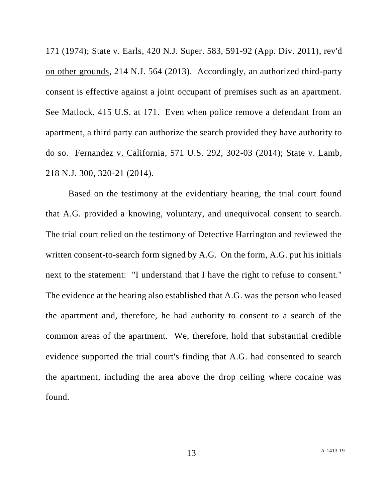171 (1974); State v. Earls, 420 N.J. Super. 583, 591-92 (App. Div. 2011), rev'd on other grounds, 214 N.J. 564 (2013). Accordingly, an authorized third-party consent is effective against a joint occupant of premises such as an apartment. See Matlock, 415 U.S. at 171. Even when police remove a defendant from an apartment, a third party can authorize the search provided they have authority to do so. Fernandez v. California, 571 U.S. 292, 302-03 (2014); State v. Lamb, 218 N.J. 300, 320-21 (2014).

Based on the testimony at the evidentiary hearing, the trial court found that A.G. provided a knowing, voluntary, and unequivocal consent to search. The trial court relied on the testimony of Detective Harrington and reviewed the written consent-to-search form signed by A.G. On the form, A.G. put his initials next to the statement: "I understand that I have the right to refuse to consent." The evidence at the hearing also established that A.G. was the person who leased the apartment and, therefore, he had authority to consent to a search of the common areas of the apartment. We, therefore, hold that substantial credible evidence supported the trial court's finding that A.G. had consented to search the apartment, including the area above the drop ceiling where cocaine was found.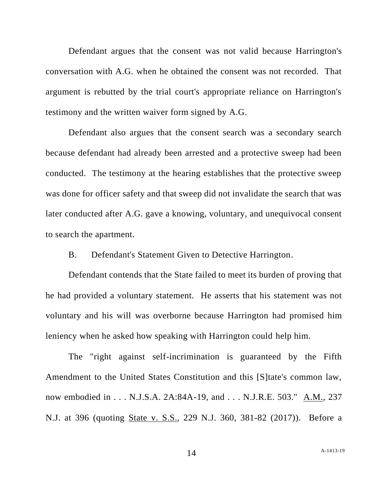Defendant argues that the consent was not valid because Harrington's conversation with A.G. when he obtained the consent was not recorded. That argument is rebutted by the trial court's appropriate reliance on Harrington's testimony and the written waiver form signed by A.G.

Defendant also argues that the consent search was a secondary search because defendant had already been arrested and a protective sweep had been conducted. The testimony at the hearing establishes that the protective sweep was done for officer safety and that sweep did not invalidate the search that was later conducted after A.G. gave a knowing, voluntary, and unequivocal consent to search the apartment.

B. Defendant's Statement Given to Detective Harrington.

Defendant contends that the State failed to meet its burden of proving that he had provided a voluntary statement. He asserts that his statement was not voluntary and his will was overborne because Harrington had promised him leniency when he asked how speaking with Harrington could help him.

The "right against self-incrimination is guaranteed by the Fifth Amendment to the United States Constitution and this [S]tate's common law, now embodied in . . . N.J.S.A. 2A:84A-19, and . . . N.J.R.E. 503." A.M., 237 N.J. at 396 (quoting State v. S.S., 229 N.J. 360, 381-82 (2017)). Before a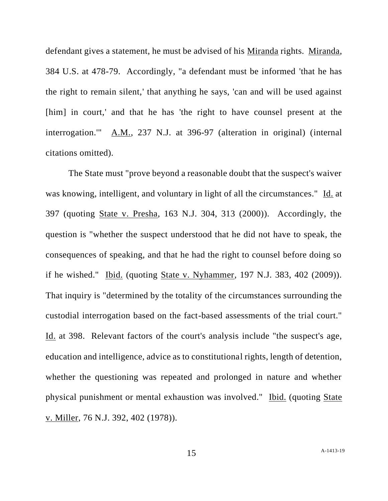defendant gives a statement, he must be advised of his Miranda rights. Miranda, 384 U.S. at 478-79. Accordingly, "a defendant must be informed 'that he has the right to remain silent,' that anything he says, 'can and will be used against [him] in court,' and that he has 'the right to have counsel present at the interrogation." A.M., 237 N.J. at 396-97 (alteration in original) (internal citations omitted).

The State must "prove beyond a reasonable doubt that the suspect's waiver was knowing, intelligent, and voluntary in light of all the circumstances." Id. at 397 (quoting State v. Presha, 163 N.J. 304, 313 (2000)). Accordingly, the question is "whether the suspect understood that he did not have to speak, the consequences of speaking, and that he had the right to counsel before doing so if he wished." Ibid. (quoting State v. Nyhammer, 197 N.J. 383, 402 (2009)). That inquiry is "determined by the totality of the circumstances surrounding the custodial interrogation based on the fact-based assessments of the trial court." Id. at 398. Relevant factors of the court's analysis include "the suspect's age, education and intelligence, advice as to constitutional rights, length of detention, whether the questioning was repeated and prolonged in nature and whether physical punishment or mental exhaustion was involved." Ibid. (quoting State v. Miller, 76 N.J. 392, 402 (1978)).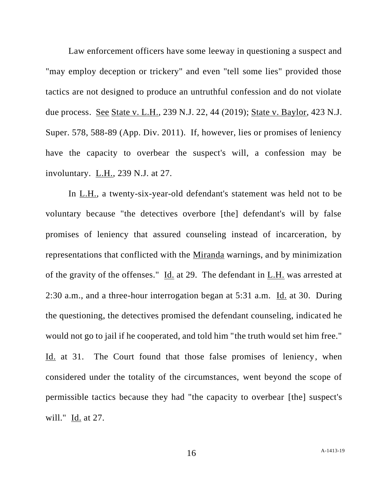Law enforcement officers have some leeway in questioning a suspect and "may employ deception or trickery" and even "tell some lies" provided those tactics are not designed to produce an untruthful confession and do not violate due process. See State v. L.H., 239 N.J. 22, 44 (2019); State v. Baylor, 423 N.J. Super. 578, 588-89 (App. Div. 2011). If, however, lies or promises of leniency have the capacity to overbear the suspect's will, a confession may be involuntary. L.H., 239 N.J. at 27.

In L.H., a twenty-six-year-old defendant's statement was held not to be voluntary because "the detectives overbore [the] defendant's will by false promises of leniency that assured counseling instead of incarceration, by representations that conflicted with the Miranda warnings, and by minimization of the gravity of the offenses." Id. at 29. The defendant in L.H. was arrested at 2:30 a.m., and a three-hour interrogation began at 5:31 a.m. Id. at 30. During the questioning, the detectives promised the defendant counseling, indicated he would not go to jail if he cooperated, and told him "the truth would set him free." Id. at 31. The Court found that those false promises of leniency, when considered under the totality of the circumstances, went beyond the scope of permissible tactics because they had "the capacity to overbear [the] suspect's will." Id. at 27.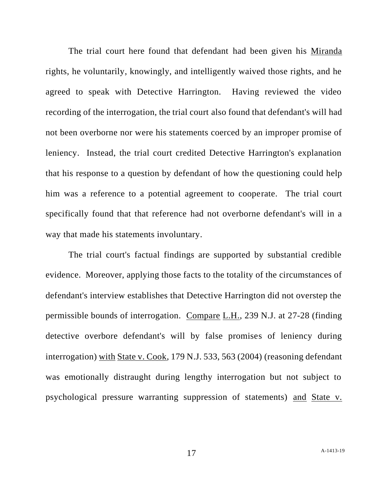The trial court here found that defendant had been given his Miranda rights, he voluntarily, knowingly, and intelligently waived those rights, and he agreed to speak with Detective Harrington. Having reviewed the video recording of the interrogation, the trial court also found that defendant's will had not been overborne nor were his statements coerced by an improper promise of leniency. Instead, the trial court credited Detective Harrington's explanation that his response to a question by defendant of how the questioning could help him was a reference to a potential agreement to cooperate. The trial court specifically found that that reference had not overborne defendant's will in a way that made his statements involuntary.

The trial court's factual findings are supported by substantial credible evidence. Moreover, applying those facts to the totality of the circumstances of defendant's interview establishes that Detective Harrington did not overstep the permissible bounds of interrogation. Compare L.H., 239 N.J. at 27-28 (finding detective overbore defendant's will by false promises of leniency during interrogation) with State v. Cook, 179 N.J. 533, 563 (2004) (reasoning defendant was emotionally distraught during lengthy interrogation but not subject to psychological pressure warranting suppression of statements) and State v.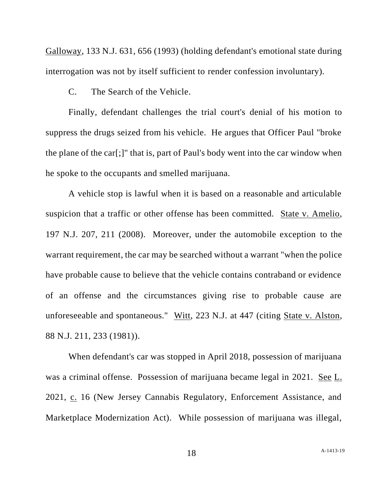Galloway, 133 N.J. 631, 656 (1993) (holding defendant's emotional state during interrogation was not by itself sufficient to render confession involuntary).

C. The Search of the Vehicle.

Finally, defendant challenges the trial court's denial of his motion to suppress the drugs seized from his vehicle. He argues that Officer Paul "broke the plane of the car[;]" that is, part of Paul's body went into the car window when he spoke to the occupants and smelled marijuana.

A vehicle stop is lawful when it is based on a reasonable and articulable suspicion that a traffic or other offense has been committed. State v. Amelio, 197 N.J. 207, 211 (2008). Moreover, under the automobile exception to the warrant requirement, the car may be searched without a warrant "when the police have probable cause to believe that the vehicle contains contraband or evidence of an offense and the circumstances giving rise to probable cause are unforeseeable and spontaneous." Witt, 223 N.J. at 447 (citing State v. Alston, 88 N.J. 211, 233 (1981)).

When defendant's car was stopped in April 2018, possession of marijuana was a criminal offense. Possession of marijuana became legal in 2021. See L. 2021, c. 16 (New Jersey Cannabis Regulatory, Enforcement Assistance, and Marketplace Modernization Act). While possession of marijuana was illegal,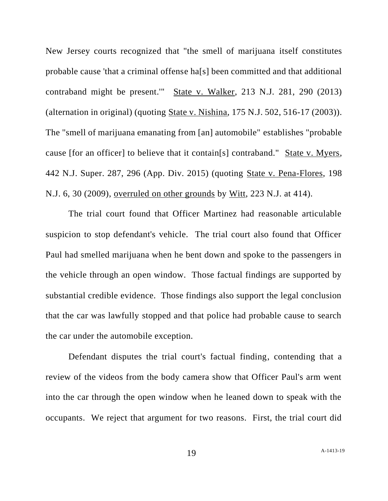New Jersey courts recognized that "the smell of marijuana itself constitutes probable cause 'that a criminal offense ha[s] been committed and that additional contraband might be present.'" State v. Walker, 213 N.J. 281, 290 (2013) (alternation in original) (quoting State v. Nishina, 175 N.J. 502, 516-17 (2003)). The "smell of marijuana emanating from [an] automobile" establishes "probable cause [for an officer] to believe that it contain[s] contraband." State v. Myers, 442 N.J. Super. 287, 296 (App. Div. 2015) (quoting State v. Pena-Flores, 198 N.J. 6, 30 (2009), overruled on other grounds by Witt, 223 N.J. at 414).

The trial court found that Officer Martinez had reasonable articulable suspicion to stop defendant's vehicle. The trial court also found that Officer Paul had smelled marijuana when he bent down and spoke to the passengers in the vehicle through an open window. Those factual findings are supported by substantial credible evidence. Those findings also support the legal conclusion that the car was lawfully stopped and that police had probable cause to search the car under the automobile exception.

Defendant disputes the trial court's factual finding, contending that a review of the videos from the body camera show that Officer Paul's arm went into the car through the open window when he leaned down to speak with the occupants. We reject that argument for two reasons. First, the trial court did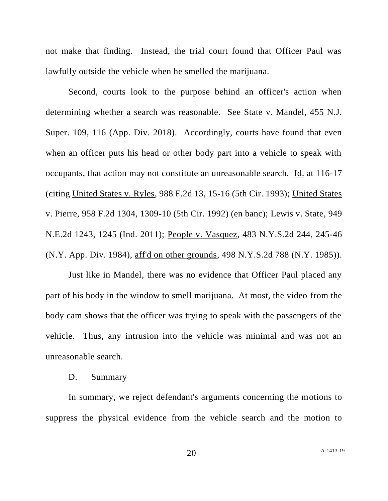not make that finding. Instead, the trial court found that Officer Paul was lawfully outside the vehicle when he smelled the marijuana.

Second, courts look to the purpose behind an officer's action when determining whether a search was reasonable. See State v. Mandel, 455 N.J. Super. 109, 116 (App. Div. 2018). Accordingly, courts have found that even when an officer puts his head or other body part into a vehicle to speak with occupants, that action may not constitute an unreasonable search. Id. at 116-17 (citing United States v. Ryles, 988 F.2d 13, 15-16 (5th Cir. 1993); United States v. Pierre, 958 F.2d 1304, 1309-10 (5th Cir. 1992) (en banc); Lewis v. State, 949 N.E.2d 1243, 1245 (Ind. 2011); People v. Vasquez, 483 N.Y.S.2d 244, 245-46 (N.Y. App. Div. 1984), aff'd on other grounds, 498 N.Y.S.2d 788 (N.Y. 1985)).

Just like in Mandel, there was no evidence that Officer Paul placed any part of his body in the window to smell marijuana. At most, the video from the body cam shows that the officer was trying to speak with the passengers of the vehicle. Thus, any intrusion into the vehicle was minimal and was not an unreasonable search.

## D. Summary

In summary, we reject defendant's arguments concerning the motions to suppress the physical evidence from the vehicle search and the motion to